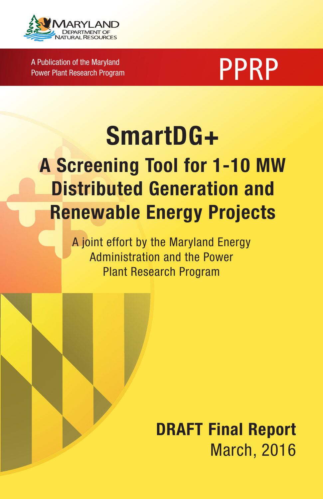

A Publication of the Maryland A Publication of the Maryland<br>Power Plant Research Program Program PPPRP



# SmartDG+ A Screening Tool for 1-10 MW Distributed Generation and Renewable Energy Projects

A joint effort by the Maryland Energy Administration and the Power Plant Research Program

> DRAFT Final Report March, 2016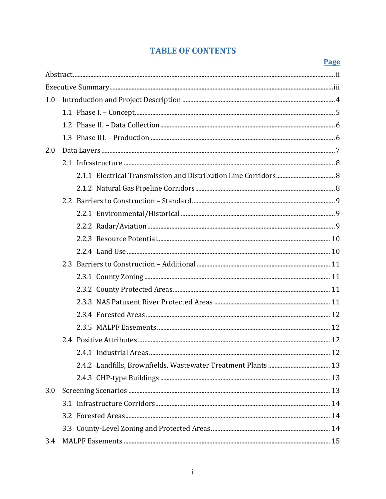## **TABLE OF CONTENTS**

#### Page

| 1.0 |  |  |  |
|-----|--|--|--|
|     |  |  |  |
|     |  |  |  |
|     |  |  |  |
| 2.0 |  |  |  |
|     |  |  |  |
|     |  |  |  |
|     |  |  |  |
|     |  |  |  |
|     |  |  |  |
|     |  |  |  |
|     |  |  |  |
|     |  |  |  |
|     |  |  |  |
|     |  |  |  |
|     |  |  |  |
|     |  |  |  |
|     |  |  |  |
|     |  |  |  |
|     |  |  |  |
|     |  |  |  |
|     |  |  |  |
|     |  |  |  |
| 3.0 |  |  |  |
|     |  |  |  |
|     |  |  |  |
|     |  |  |  |
| 3.4 |  |  |  |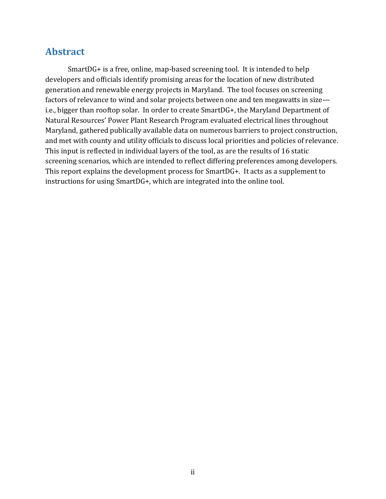## <span id="page-2-0"></span>**Abstract**

SmartDG+ is a free, online, map-based screening tool. It is intended to help developers and officials identify promising areas for the location of new distributed generation and renewable energy projects in Maryland. The tool focuses on screening factors of relevance to wind and solar projects between one and ten megawatts in size i.e., bigger than rooftop solar. In order to create SmartDG+, the Maryland Department of Natural Resources' Power Plant Research Program evaluated electrical lines throughout Maryland, gathered publically available data on numerous barriers to project construction, and met with county and utility officials to discuss local priorities and policies of relevance. This input is reflected in individual layers of the tool, as are the results of 16 static screening scenarios, which are intended to reflect differing preferences among developers. This report explains the development process for SmartDG+. It acts as a supplement to instructions for using SmartDG+, which are integrated into the online tool.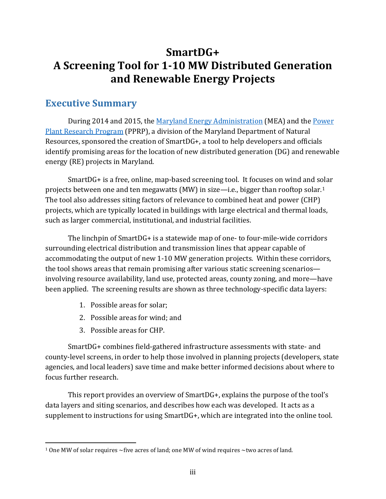## **SmartDG+ A Screening Tool for 1-10 MW Distributed Generation and Renewable Energy Projects**

## <span id="page-3-0"></span>**Executive Summary**

During 2014 and 2015, the [Maryland Energy Administration](http://energy.maryland.gov/Pages/default.aspx) (MEA) and the [Power](http://pprp.info/)  [Plant Research Program](http://pprp.info/) (PPRP), a division of the Maryland Department of Natural Resources, sponsored the creation of SmartDG+, a tool to help developers and officials identify promising areas for the location of new distributed generation (DG) and renewable energy (RE) projects in Maryland.

SmartDG+ is a free, online, map-based screening tool. It focuses on wind and solar projects between one and ten megawatts (MW) in size—i.e., bigger than rooftop solar.[1](#page-3-1) The tool also addresses siting factors of relevance to combined heat and power (CHP) projects, which are typically located in buildings with large electrical and thermal loads, such as larger commercial, institutional, and industrial facilities.

The linchpin of SmartDG+ is a statewide map of one- to four-mile-wide corridors surrounding electrical distribution and transmission lines that appear capable of accommodating the output of new 1-10 MW generation projects. Within these corridors, the tool shows areas that remain promising after various static screening scenarios involving resource availability, land use, protected areas, county zoning, and more—have been applied. The screening results are shown as three technology-specific data layers:

- 1. Possible areas for solar;
- 2. Possible areas for wind; and
- 3. Possible areas for CHP.

l

SmartDG+ combines field-gathered infrastructure assessments with state- and county-level screens, in order to help those involved in planning projects (developers, state agencies, and local leaders) save time and make better informed decisions about where to focus further research.

This report provides an overview of SmartDG+, explains the purpose of the tool's data layers and siting scenarios, and describes how each was developed. It acts as a supplement to instructions for using SmartDG+, which are integrated into the online tool.

<span id="page-3-1"></span><sup>1</sup> One MW of solar requires ~five acres of land; one MW of wind requires ~two acres of land.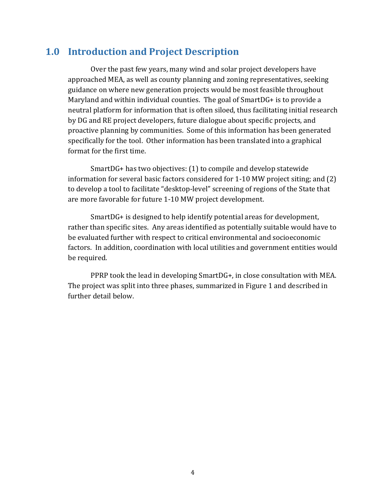## <span id="page-4-0"></span>**1.0 Introduction and Project Description**

Over the past few years, many wind and solar project developers have approached MEA, as well as county planning and zoning representatives, seeking guidance on where new generation projects would be most feasible throughout Maryland and within individual counties. The goal of SmartDG+ is to provide a neutral platform for information that is often siloed, thus facilitating initial research by DG and RE project developers, future dialogue about specific projects, and proactive planning by communities. Some of this information has been generated specifically for the tool. Other information has been translated into a graphical format for the first time.

SmartDG+ has two objectives: (1) to compile and develop statewide information for several basic factors considered for 1-10 MW project siting; and (2) to develop a tool to facilitate "desktop-level" screening of regions of the State that are more favorable for future 1-10 MW project development.

SmartDG+ is designed to help identify potential areas for development, rather than specific sites. Any areas identified as potentially suitable would have to be evaluated further with respect to critical environmental and socioeconomic factors. In addition, coordination with local utilities and government entities would be required.

PPRP took the lead in developing SmartDG+, in close consultation with MEA. The project was split into three phases, summarized in Figure 1 and described in further detail below.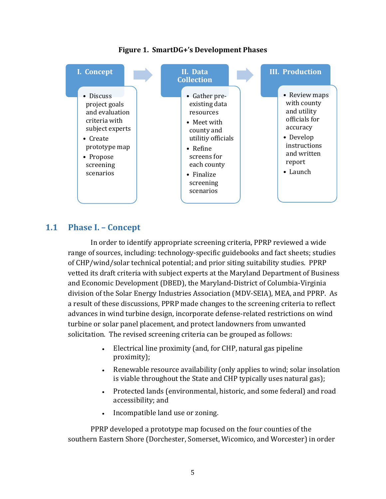

**Figure 1. SmartDG+'s Development Phases**

#### <span id="page-5-0"></span>**1.1 Phase I. – Concept**

In order to identify appropriate screening criteria, PPRP reviewed a wide range of sources, including: technology-specific guidebooks and fact sheets; studies of CHP/wind/solar technical potential; and prior siting suitability studies. PPRP vetted its draft criteria with subject experts at the Maryland Department of Business and Economic Development (DBED), the Maryland-District of Columbia-Virginia division of the Solar Energy Industries Association (MDV-SEIA), MEA, and PPRP. As a result of these discussions, PPRP made changes to the screening criteria to reflect advances in wind turbine design, incorporate defense-related restrictions on wind turbine or solar panel placement, and protect landowners from unwanted solicitation. The revised screening criteria can be grouped as follows:

- Electrical line proximity (and, for CHP, natural gas pipeline proximity);
- Renewable resource availability (only applies to wind; solar insolation is viable throughout the State and CHP typically uses natural gas);
- Protected lands (environmental, historic, and some federal) and road accessibility; and
- Incompatible land use or zoning.

PPRP developed a prototype map focused on the four counties of the southern Eastern Shore (Dorchester, Somerset, Wicomico, and Worcester) in order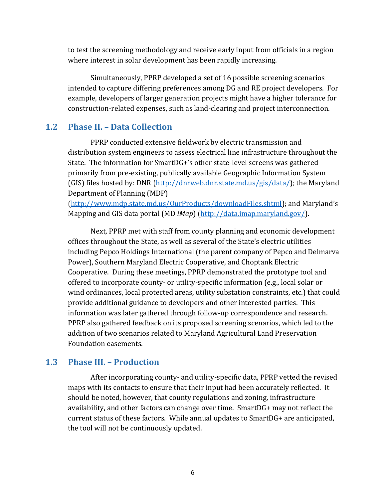to test the screening methodology and receive early input from officials in a region where interest in solar development has been rapidly increasing.

Simultaneously, PPRP developed a set of 16 possible screening scenarios intended to capture differing preferences among DG and RE project developers. For example, developers of larger generation projects might have a higher tolerance for construction-related expenses, such as land-clearing and project interconnection.

#### <span id="page-6-0"></span>**1.2 Phase II. – Data Collection**

PPRP conducted extensive fieldwork by electric transmission and distribution system engineers to assess electrical line infrastructure throughout the State. The information for SmartDG+'s other state-level screens was gathered primarily from pre-existing, publically available Geographic Information System (GIS) files hosted by: DNR [\(http://dnrweb.dnr.state.md.us/gis/data/\)](http://dnrweb.dnr.state.md.us/gis/data/); the Maryland Department of Planning (MDP)

[\(http://www.mdp.state.md.us/OurProducts/downloadFiles.shtml\)](http://www.mdp.state.md.us/OurProducts/downloadFiles.shtml); and Maryland's Mapping and GIS data portal (MD *iMap*) [\(http://data.imap.maryland.gov/\)](http://data.imap.maryland.gov/).

Next, PPRP met with staff from county planning and economic development offices throughout the State, as well as several of the State's electric utilities including Pepco Holdings International (the parent company of Pepco and Delmarva Power), Southern Maryland Electric Cooperative, and Choptank Electric Cooperative. During these meetings, PPRP demonstrated the prototype tool and offered to incorporate county- or utility-specific information (e.g., local solar or wind ordinances, local protected areas, utility substation constraints, etc.) that could provide additional guidance to developers and other interested parties. This information was later gathered through follow-up correspondence and research. PPRP also gathered feedback on its proposed screening scenarios, which led to the addition of two scenarios related to Maryland Agricultural Land Preservation Foundation easements.

#### <span id="page-6-1"></span>**1.3 Phase III. – Production**

After incorporating county- and utility-specific data, PPRP vetted the revised maps with its contacts to ensure that their input had been accurately reflected. It should be noted, however, that county regulations and zoning, infrastructure availability, and other factors can change over time. SmartDG+ may not reflect the current status of these factors. While annual updates to SmartDG+ are anticipated, the tool will not be continuously updated.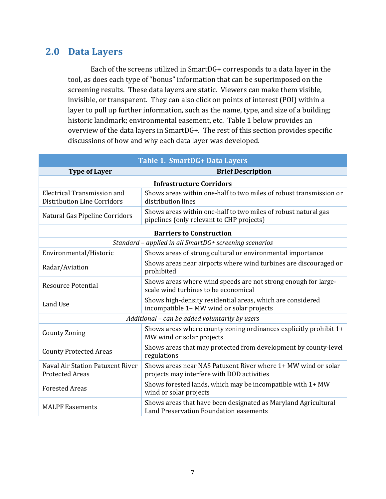## <span id="page-7-0"></span>**2.0 Data Layers**

Each of the screens utilized in SmartDG+ corresponds to a data layer in the tool, as does each type of "bonus" information that can be superimposed on the screening results. These data layers are static. Viewers can make them visible, invisible, or transparent. They can also click on points of interest (POI) within a layer to pull up further information, such as the name, type, and size of a building; historic landmark; environmental easement, etc. Table 1 below provides an overview of the data layers in SmartDG+. The rest of this section provides specific discussions of how and why each data layer was developed.

| <b>Table 1. SmartDG+ Data Layers</b>                                     |                                                                                                             |  |  |  |
|--------------------------------------------------------------------------|-------------------------------------------------------------------------------------------------------------|--|--|--|
| <b>Type of Layer</b>                                                     | <b>Brief Description</b>                                                                                    |  |  |  |
| <b>Infrastructure Corridors</b>                                          |                                                                                                             |  |  |  |
| <b>Electrical Transmission and</b><br><b>Distribution Line Corridors</b> | Shows areas within one-half to two miles of robust transmission or<br>distribution lines                    |  |  |  |
| Natural Gas Pipeline Corridors                                           | Shows areas within one-half to two miles of robust natural gas<br>pipelines (only relevant to CHP projects) |  |  |  |
| <b>Barriers to Construction</b>                                          |                                                                                                             |  |  |  |
| Standard - applied in all SmartDG+ screening scenarios                   |                                                                                                             |  |  |  |
| Environmental/Historic                                                   | Shows areas of strong cultural or environmental importance                                                  |  |  |  |
| Radar/Aviation                                                           | Shows areas near airports where wind turbines are discouraged or<br>prohibited                              |  |  |  |
| <b>Resource Potential</b>                                                | Shows areas where wind speeds are not strong enough for large-<br>scale wind turbines to be economical      |  |  |  |
| Land Use                                                                 | Shows high-density residential areas, which are considered<br>incompatible 1+ MW wind or solar projects     |  |  |  |
| Additional - can be added voluntarily by users                           |                                                                                                             |  |  |  |
| <b>County Zoning</b>                                                     | Shows areas where county zoning ordinances explicitly prohibit 1+<br>MW wind or solar projects              |  |  |  |
| <b>County Protected Areas</b>                                            | Shows areas that may protected from development by county-level<br>regulations                              |  |  |  |
| <b>Naval Air Station Patuxent River</b><br><b>Protected Areas</b>        | Shows areas near NAS Patuxent River where 1+ MW wind or solar<br>projects may interfere with DOD activities |  |  |  |
| <b>Forested Areas</b>                                                    | Shows forested lands, which may be incompatible with 1+ MW<br>wind or solar projects                        |  |  |  |
| <b>MALPF Easements</b>                                                   | Shows areas that have been designated as Maryland Agricultural<br>Land Preservation Foundation easements    |  |  |  |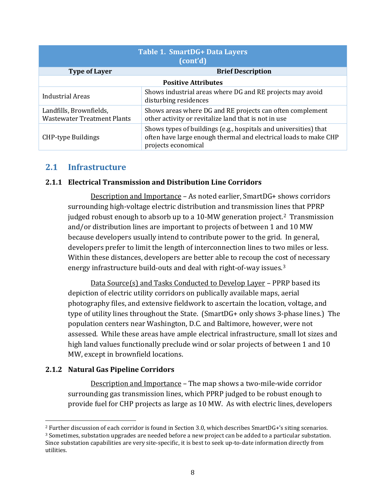| Table 1. SmartDG+ Data Layers<br>(cont'd)                     |                                                                                                                                                             |  |  |
|---------------------------------------------------------------|-------------------------------------------------------------------------------------------------------------------------------------------------------------|--|--|
| <b>Type of Layer</b>                                          | <b>Brief Description</b>                                                                                                                                    |  |  |
| <b>Positive Attributes</b>                                    |                                                                                                                                                             |  |  |
| <b>Industrial Areas</b>                                       | Shows industrial areas where DG and RE projects may avoid<br>disturbing residences                                                                          |  |  |
| Landfills, Brownfields,<br><b>Wastewater Treatment Plants</b> | Shows areas where DG and RE projects can often complement<br>other activity or revitalize land that is not in use                                           |  |  |
| <b>CHP-type Buildings</b>                                     | Shows types of buildings (e.g., hospitals and universities) that<br>often have large enough thermal and electrical loads to make CHP<br>projects economical |  |  |

## <span id="page-8-0"></span>**2.1 Infrastructure**

#### <span id="page-8-1"></span>**2.1.1 Electrical Transmission and Distribution Line Corridors**

Description and Importance – As noted earlier, SmartDG+ shows corridors surrounding high-voltage electric distribution and transmission li[ne](#page-8-3)s that PPRP judged robust enough to absorb up to a 10-MW generation project. <sup>2</sup> Transmission and/or distribution lines are important to projects of between 1 and 10 MW because developers usually intend to contribute power to the grid. In general, developers prefer to limit the length of interconnection lines to two miles or less. Within these distances, developers are better able to recoup the co[st](#page-8-4) of necessary energy infrastructure build-outs and deal with right-of-way issues.3

Data Source(s) and Tasks Conducted to Develop Layer – PPRP based its depiction of electric utility corridors on publically available maps, aerial photography files, and extensive fieldwork to ascertain the location, voltage, and type of utility lines throughout the State. (SmartDG+ only shows 3-phase lines.) The population centers near Washington, D.C. and Baltimore, however, were not assessed. While these areas have ample electrical infrastructure, small lot sizes and high land values functionally preclude wind or solar projects of between 1 and 10 MW, except in brownfield locations.

#### <span id="page-8-2"></span>**2.1.2 Natural Gas Pipeline Corridors**

 $\overline{\phantom{a}}$ 

Description and Importance – The map shows a two-mile-wide corridor surrounding gas transmission lines, which PPRP judged to be robust enough to provide fuel for CHP projects as large as 10 MW. As with electric lines, developers

<span id="page-8-4"></span><span id="page-8-3"></span><sup>2</sup> Further discussion of each corridor is found in Section 3.0, which describes SmartDG+'s siting scenarios. <sup>3</sup> Sometimes, substation upgrades are needed before a new project can be added to a particular substation. Since substation capabilities are very site-specific, it is best to seek up-to-date information directly from utilities.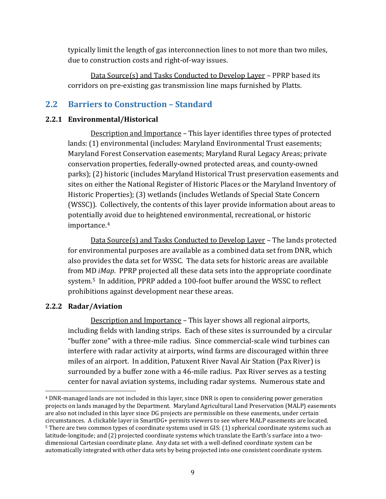typically limit the length of gas interconnection lines to not more than two miles, due to construction costs and right-of-way issues.

Data Source(s) and Tasks Conducted to Develop Layer – PPRP based its corridors on pre-existing gas transmission line maps furnished by Platts.

## <span id="page-9-0"></span>**2.2 Barriers to Construction – Standard**

#### <span id="page-9-1"></span>**2.2.1 Environmental/Historical**

Description and Importance – This layer identifies three types of protected lands: (1) environmental (includes: Maryland Environmental Trust easements; Maryland Forest Conservation easements; Maryland Rural Legacy Areas; private conservation properties, federally-owned protected areas, and county-owned parks); (2) historic (includes Maryland Historical Trust preservation easements and sites on either the National Register of Historic Places or the Maryland Inventory of Historic Properties); (3) wetlands (includes Wetlands of Special State Concern (WSSC)). Collectively, the contents of this layer provide information about areas to potentially avoid due to heightened environmental, recreational, or historic importance.[4](#page-9-3)

Data Source(s) and Tasks Conducted to Develop Layer – The lands protected for environmental purposes are available as a combined data set from DNR, which also provides the data set for WSSC. The data sets for historic areas are available from MD *iMap*. PPRP projected all these data sets into the appropriate coordinate system.[5](#page-9-4) In addition, PPRP added a 100-foot buffer around the WSSC to reflect prohibitions against development near these areas.

#### <span id="page-9-2"></span>**2.2.2 Radar/Aviation**

 $\overline{\phantom{a}}$ 

Description and Importance – This layer shows all regional airports, including fields with landing strips. Each of these sites is surrounded by a circular "buffer zone" with a three-mile radius. Since commercial-scale wind turbines can interfere with radar activity at airports, wind farms are discouraged within three miles of an airport. In addition, Patuxent River Naval Air Station (Pax River) is surrounded by a buffer zone with a 46-mile radius. Pax River serves as a testing center for naval aviation systems, including radar systems. Numerous state and

<span id="page-9-4"></span><span id="page-9-3"></span><sup>4</sup> DNR-managed lands are not included in this layer, since DNR is open to considering power generation projects on lands managed by the Department. Maryland Agricultural Land Preservation (MALP) easements are also not included in this layer since DG projects are permissible on these easements, under certain circumstances. A clickable layer in SmartDG+ permits viewers to see where MALP easements are located. <sup>5</sup> There are two common types of coordinate systems used in GIS: (1) spherical coordinate systems such as latitude-longitude; and (2) projected coordinate systems which translate the Earth's surface into a twodimensional Cartesian coordinate plane. Any data set with a well-defined coordinate system can be automatically integrated with other data sets by being projected into one consistent coordinate system.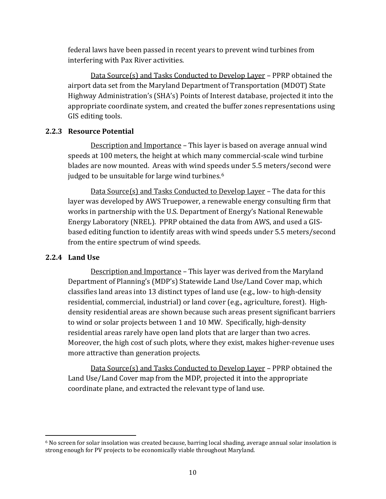federal laws have been passed in recent years to prevent wind turbines from interfering with Pax River activities.

Data Source(s) and Tasks Conducted to Develop Layer – PPRP obtained the airport data set from the Maryland Department of Transportation (MDOT) State Highway Administration's (SHA's) Points of Interest database, projected it into the appropriate coordinate system, and created the buffer zones representations using GIS editing tools.

#### <span id="page-10-0"></span>**2.2.3 Resource Potential**

Description and Importance – This layer is based on average annual wind speeds at 100 meters, the height at which many commercial-scale wind turbine blades are now mounted. Areas with wind speeds under 5.5 meters/second were judged to be unsuitable for large wind turbines.<sup>[6](#page-10-2)</sup>

Data Source(s) and Tasks Conducted to Develop Layer – The data for this layer was developed by AWS Truepower, a renewable energy consulting firm that works in partnership with the U.S. Department of Energy's National Renewable Energy Laboratory (NREL). PPRP obtained the data from AWS, and used a GISbased editing function to identify areas with wind speeds under 5.5 meters/second from the entire spectrum of wind speeds.

#### <span id="page-10-1"></span>**2.2.4 Land Use**

Description and Importance – This layer was derived from the Maryland Department of Planning's (MDP's) Statewide Land Use/Land Cover map, which classifies land areas into 13 distinct types of land use (e.g., low- to high-density residential, commercial, industrial) or land cover (e.g., agriculture, forest). Highdensity residential areas are shown because such areas present significant barriers to wind or solar projects between 1 and 10 MW. Specifically, high-density residential areas rarely have open land plots that are larger than two acres. Moreover, the high cost of such plots, where they exist, makes higher-revenue uses more attractive than generation projects.

Data Source(s) and Tasks Conducted to Develop Layer – PPRP obtained the Land Use/Land Cover map from the MDP, projected it into the appropriate coordinate plane, and extracted the relevant type of land use.

<span id="page-10-2"></span><sup>6</sup> No screen for solar insolation was created because, barring local shading, average annual solar insolation is strong enough for PV projects to be economically viable throughout Maryland. l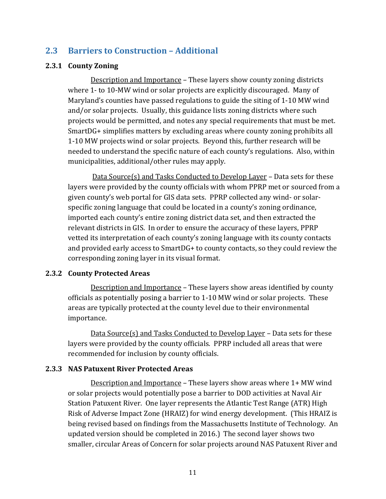## <span id="page-11-0"></span>**2.3 Barriers to Construction – Additional**

#### <span id="page-11-1"></span>**2.3.1 County Zoning**

Description and Importance – These layers show county zoning districts where 1- to 10-MW wind or solar projects are explicitly discouraged. Many of Maryland's counties have passed regulations to guide the siting of 1-10 MW wind and/or solar projects. Usually, this guidance lists zoning districts where such projects would be permitted, and notes any special requirements that must be met. SmartDG+ simplifies matters by excluding areas where county zoning prohibits all 1-10 MW projects wind or solar projects. Beyond this, further research will be needed to understand the specific nature of each county's regulations. Also, within municipalities, additional/other rules may apply.

Data Source(s) and Tasks Conducted to Develop Layer – Data sets for these layers were provided by the county officials with whom PPRP met or sourced from a given county's web portal for GIS data sets. PPRP collected any wind- or solarspecific zoning language that could be located in a county's zoning ordinance, imported each county's entire zoning district data set, and then extracted the relevant districts in GIS. In order to ensure the accuracy of these layers, PPRP vetted its interpretation of each county's zoning language with its county contacts and provided early access to SmartDG+ to county contacts, so they could review the corresponding zoning layer in its visual format.

#### <span id="page-11-2"></span>**2.3.2 County Protected Areas**

Description and Importance – These layers show areas identified by county officials as potentially posing a barrier to 1-10 MW wind or solar projects. These areas are typically protected at the county level due to their environmental importance.

Data Source(s) and Tasks Conducted to Develop Layer – Data sets for these layers were provided by the county officials. PPRP included all areas that were recommended for inclusion by county officials.

#### <span id="page-11-3"></span>**2.3.3 NAS Patuxent River Protected Areas**

Description and Importance – These layers show areas where 1+ MW wind or solar projects would potentially pose a barrier to DOD activities at Naval Air Station Patuxent River. One layer represents the Atlantic Test Range (ATR) High Risk of Adverse Impact Zone (HRAIZ) for wind energy development. (This HRAIZ is being revised based on findings from the Massachusetts Institute of Technology. An updated version should be completed in 2016.) The second layer shows two smaller, circular Areas of Concern for solar projects around NAS Patuxent River and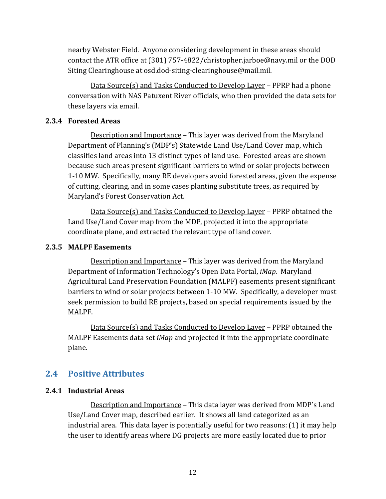nearby Webster Field. Anyone considering development in these areas should contact the ATR office at (301) 757-4822/christopher.jarboe@navy.mil or the DOD Siting Clearinghouse at osd.dod-siting-clearinghouse@mail.mil.

Data Source(s) and Tasks Conducted to Develop Layer – PPRP had a phone conversation with NAS Patuxent River officials, who then provided the data sets for these layers via email.

#### <span id="page-12-0"></span>**2.3.4 Forested Areas**

Description and Importance – This layer was derived from the Maryland Department of Planning's (MDP's) Statewide Land Use/Land Cover map, which classifies land areas into 13 distinct types of land use. Forested areas are shown because such areas present significant barriers to wind or solar projects between 1-10 MW. Specifically, many RE developers avoid forested areas, given the expense of cutting, clearing, and in some cases planting substitute trees, as required by Maryland's Forest Conservation Act.

Data Source(s) and Tasks Conducted to Develop Layer – PPRP obtained the Land Use/Land Cover map from the MDP, projected it into the appropriate coordinate plane, and extracted the relevant type of land cover.

#### <span id="page-12-1"></span>**2.3.5 MALPF Easements**

Description and Importance – This layer was derived from the Maryland Department of Information Technology's Open Data Portal, *iMap*. Maryland Agricultural Land Preservation Foundation (MALPF) easements present significant barriers to wind or solar projects between 1-10 MW. Specifically, a developer must seek permission to build RE projects, based on special requirements issued by the MALPF.

Data Source(s) and Tasks Conducted to Develop Layer – PPRP obtained the MALPF Easements data set *iMap* and projected it into the appropriate coordinate plane.

#### <span id="page-12-2"></span>**2.4 Positive Attributes**

#### <span id="page-12-3"></span>**2.4.1 Industrial Areas**

Description and Importance – This data layer was derived from MDP's Land Use/Land Cover map, described earlier. It shows all land categorized as an industrial area. This data layer is potentially useful for two reasons: (1) it may help the user to identify areas where DG projects are more easily located due to prior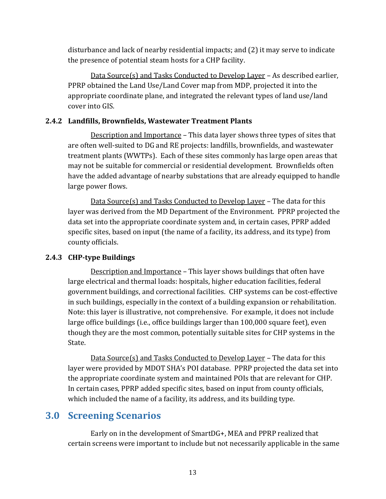disturbance and lack of nearby residential impacts; and (2) it may serve to indicate the presence of potential steam hosts for a CHP facility.

Data Source(s) and Tasks Conducted to Develop Layer – As described earlier, PPRP obtained the Land Use/Land Cover map from MDP, projected it into the appropriate coordinate plane, and integrated the relevant types of land use/land cover into GIS.

#### <span id="page-13-0"></span>**2.4.2 Landfills, Brownfields, Wastewater Treatment Plants**

Description and Importance – This data layer shows three types of sites that are often well-suited to DG and RE projects: landfills, brownfields, and wastewater treatment plants (WWTPs). Each of these sites commonly has large open areas that may not be suitable for commercial or residential development. Brownfields often have the added advantage of nearby substations that are already equipped to handle large power flows.

Data Source(s) and Tasks Conducted to Develop Layer – The data for this layer was derived from the MD Department of the Environment. PPRP projected the data set into the appropriate coordinate system and, in certain cases, PPRP added specific sites, based on input (the name of a facility, its address, and its type) from county officials.

#### <span id="page-13-1"></span>**2.4.3 CHP-type Buildings**

Description and Importance – This layer shows buildings that often have large electrical and thermal loads: hospitals, higher education facilities, federal government buildings, and correctional facilities. CHP systems can be cost-effective in such buildings, especially in the context of a building expansion or rehabilitation. Note: this layer is illustrative, not comprehensive. For example, it does not include large office buildings (i.e., office buildings larger than 100,000 square feet), even though they are the most common, potentially suitable sites for CHP systems in the State.

Data Source(s) and Tasks Conducted to Develop Layer – The data for this layer were provided by MDOT SHA's POI database. PPRP projected the data set into the appropriate coordinate system and maintained POIs that are relevant for CHP. In certain cases, PPRP added specific sites, based on input from county officials, which included the name of a facility, its address, and its building type.

## <span id="page-13-2"></span>**3.0 Screening Scenarios**

Early on in the development of SmartDG+, MEA and PPRP realized that certain screens were important to include but not necessarily applicable in the same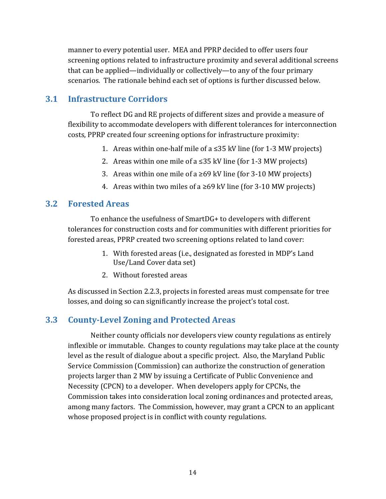manner to every potential user. MEA and PPRP decided to offer users four screening options related to infrastructure proximity and several additional screens that can be applied—individually or collectively—to any of the four primary scenarios. The rationale behind each set of options is further discussed below.

## <span id="page-14-0"></span>**3.1 Infrastructure Corridors**

To reflect DG and RE projects of different sizes and provide a measure of flexibility to accommodate developers with different tolerances for interconnection costs, PPRP created four screening options for infrastructure proximity:

- 1. Areas within one-half mile of a  $\leq$ 35 kV line (for 1-3 MW projects)
- 2. Areas within one mile of a  $\leq$ 35 kV line (for 1-3 MW projects)
- 3. Areas within one mile of a ≥69 kV line (for 3-10 MW projects)
- 4. Areas within two miles of a  $\geq 69$  kV line (for 3-10 MW projects)

## <span id="page-14-1"></span>**3.2 Forested Areas**

To enhance the usefulness of SmartDG+ to developers with different tolerances for construction costs and for communities with different priorities for forested areas, PPRP created two screening options related to land cover:

- 1. With forested areas (i.e., designated as forested in MDP's Land Use/Land Cover data set)
- 2. Without forested areas

As discussed in Section 2.2.3, projects in forested areas must compensate for tree losses, and doing so can significantly increase the project's total cost.

## <span id="page-14-2"></span>**3.3 County-Level Zoning and Protected Areas**

Neither county officials nor developers view county regulations as entirely inflexible or immutable. Changes to county regulations may take place at the county level as the result of dialogue about a specific project. Also, the Maryland Public Service Commission (Commission) can authorize the construction of generation projects larger than 2 MW by issuing a Certificate of Public Convenience and Necessity (CPCN) to a developer. When developers apply for CPCNs, the Commission takes into consideration local zoning ordinances and protected areas, among many factors. The Commission, however, may grant a CPCN to an applicant whose proposed project is in conflict with county regulations.